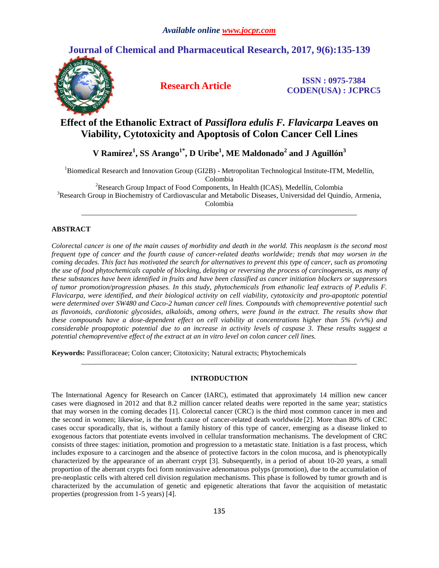# **Journal of Chemical and Pharmaceutical Research, 2017, 9(6):135-139**



**Research Article ISSN : 0975-7384 CODEN(USA) : JCPRC5**

## **Effect of the Ethanolic Extract of** *Passiflora edulis F. Flavicarpa* **Leaves on Viability, Cytotoxicity and Apoptosis of Colon Cancer Cell Lines**

**V Ramírez<sup>1</sup> , SS Arango1\* , D Uribe<sup>1</sup> , ME Maldonado<sup>2</sup> and J Aguillón<sup>3</sup>**

<sup>1</sup>Biomedical Research and Innovation Group (GI2B) - Metropolitan Technological Institute-ITM, Medellín, Colombia

<sup>2</sup>Research Group Impact of Food Components, In Health (ICAS), Medellín, Colombia <sup>3</sup>Research Group in Biochemistry of Cardiovascular and Metabolic Diseases, Universidad del Quindío, Armenia, Colombia

*\_\_\_\_\_\_\_\_\_\_\_\_\_\_\_\_\_\_\_\_\_\_\_\_\_\_\_\_\_\_\_\_\_\_\_\_\_\_\_\_\_\_\_\_\_\_\_\_\_\_\_\_\_\_\_\_\_\_\_\_\_\_\_\_\_\_\_\_\_\_\_\_\_\_\_\_\_*

## **ABSTRACT**

*Colorectal cancer is one of the main causes of morbidity and death in the world. This neoplasm is the second most frequent type of cancer and the fourth cause of cancer-related deaths worldwide; trends that may worsen in the coming decades. This fact has motivated the search for alternatives to prevent this type of cancer, such as promoting the use of food phytochemicals capable of blocking, delaying or reversing the process of carcinogenesis, as many of these substances have been identified in fruits and have been classified as cancer initiation blockers or suppressors of tumor promotion/progression phases. In this study, phytochemicals from ethanolic leaf extracts of P.edulis F. Flavicarpa, were identified, and their biological activity on cell viability, cytotoxicity and pro-apoptotic potential were determined over SW480 and Caco-2 human cancer cell lines. Compounds with chemopreventive potential such as flavonoids, cardiotonic glycosides, alkaloids, among others, were found in the extract. The results show that these compounds have a dose-dependent effect on cell viability at concentrations higher than 5% (v/v%) and considerable proapoptotic potential due to an increase in activity levels of caspase 3. These results suggest a potential chemopreventive effect of the extract at an in vitro level on colon cancer cell lines.*

**Keywords:** Passifloraceae; Colon cancer; Citotoxicity; Natural extracts; Phytochemicals

## **INTRODUCTION**

*\_\_\_\_\_\_\_\_\_\_\_\_\_\_\_\_\_\_\_\_\_\_\_\_\_\_\_\_\_\_\_\_\_\_\_\_\_\_\_\_\_\_\_\_\_\_\_\_\_\_\_\_\_\_\_\_\_\_\_\_\_\_\_\_\_\_\_\_\_\_\_\_\_\_\_\_\_*

The International Agency for Research on Cancer (IARC), estimated that approximately 14 million new cancer cases were diagnosed in 2012 and that 8.2 million cancer related deaths were reported in the same year; statistics that may worsen in the coming decades [1]. Colorectal cancer (CRC) is the third most common cancer in men and the second in women; likewise, is the fourth cause of cancer-related death worldwide [2]. More than 80% of CRC cases occur sporadically, that is, without a family history of this type of cancer, emerging as a disease linked to exogenous factors that potentiate events involved in cellular transformation mechanisms. The development of CRC consists of three stages: initiation, promotion and progression to a metastatic state. Initiation is a fast process, which includes exposure to a carcinogen and the absence of protective factors in the colon mucosa, and is phenotypically characterized by the appearance of an aberrant crypt [3]. Subsequently, in a period of about 10-20 years, a small proportion of the aberrant crypts foci form noninvasive adenomatous polyps (promotion), due to the accumulation of pre-neoplastic cells with altered cell division regulation mechanisms. This phase is followed by tumor growth and is characterized by the accumulation of genetic and epigenetic alterations that favor the acquisition of metastatic properties (progression from 1-5 years) [4].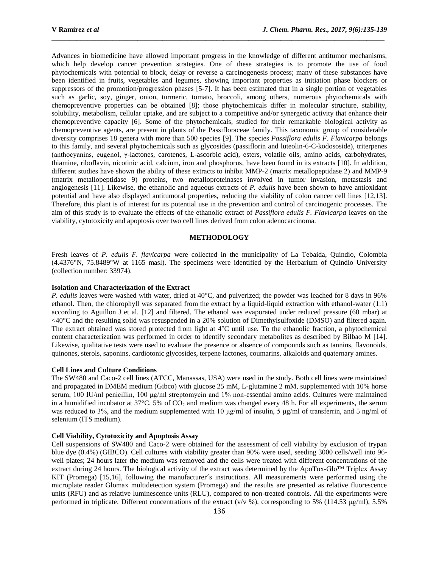Advances in biomedicine have allowed important progress in the knowledge of different antitumor mechanisms, which help develop cancer prevention strategies. One of these strategies is to promote the use of food phytochemicals with potential to block, delay or reverse a carcinogenesis process; many of these substances have been identified in fruits, vegetables and legumes, showing important properties as initiation phase blockers or suppressors of the promotion/progression phases [5-7]. It has been estimated that in a single portion of vegetables such as garlic, soy, ginger, onion, turmeric, tomato, broccoli, among others, numerous phytochemicals with chemopreventive properties can be obtained [8]; those phytochemicals differ in molecular structure, stability, solubility, metabolism, cellular uptake, and are subject to a competitive and/or synergetic activity that enhance their chemopreventive capacity [6]. Some of the phytochemicals, studied for their remarkable biological activity as chemopreventive agents, are present in plants of the Passifloraceae family. This taxonomic group of considerable diversity comprises 18 genera with more than 500 species [9]. The species *Passiflora edulis F. Flavicarpa* belongs to this family, and several phytochemicals such as glycosides (passiflorin and luteolin-6-C-kodososide), triterpenes (anthocyanins, eugenol, γ-lactones, carotenes, L-ascorbic acid), esters, volatile oils, amino acids, carbohydrates, thiamine, riboflavin, nicotinic acid, calcium, iron and phosphorus, have been found in its extracts [10]. In addition, different studies have shown the ability of these extracts to inhibit MMP-2 (matrix metallopeptidase 2) and MMP-9 (matrix metallopeptidase 9) proteins, two metalloproteinases involved in tumor invasion, metastasis and angiogenesis [11]. Likewise, the ethanolic and aqueous extracts of *P. edulis* have been shown to have antioxidant potential and have also displayed antitumoral properties, reducing the viability of colon cancer cell lines [12,13]. Therefore, this plant is of interest for its potential use in the prevention and control of carcinogenic processes. The aim of this study is to evaluate the effects of the ethanolic extract of *Passiflora edulis F. Flavicarpa* leaves on the viability, cytotoxicity and apoptosis over two cell lines derived from colon adenocarcinoma.

 $\_$  ,  $\_$  ,  $\_$  ,  $\_$  ,  $\_$  ,  $\_$  ,  $\_$  ,  $\_$  ,  $\_$  ,  $\_$  ,  $\_$  ,  $\_$  ,  $\_$  ,  $\_$  ,  $\_$  ,  $\_$  ,  $\_$  ,  $\_$  ,  $\_$  ,  $\_$  ,  $\_$  ,  $\_$  ,  $\_$  ,  $\_$  ,  $\_$  ,  $\_$  ,  $\_$  ,  $\_$  ,  $\_$  ,  $\_$  ,  $\_$  ,  $\_$  ,  $\_$  ,  $\_$  ,  $\_$  ,  $\_$  ,  $\_$  ,

### **METHODOLOGY**

Fresh leaves of *P. edulis F. flavicarpa* were collected in the municipality of La Tebaida, Quindío, Colombia (4.4376°N, 75.8489°W at 1165 masl). The specimens were identified by the Herbarium of Quindío University (collection number: 33974).

#### **Isolation and Characterization of the Extract**

*P. edulis* leaves were washed with water, dried at 40°C, and pulverized; the powder was leached for 8 days in 96% ethanol. Then, the chlorophyll was separated from the extract by a liquid-liquid extraction with ethanol-water (1:1) according to Aguillon J et al. [12] and filtered. The ethanol was evaporated under reduced pressure (60 mbar) at <40°C and the resulting solid was resuspended in a 20% solution of Dimethylsulfoxide (DMSO) and filtered again. The extract obtained was stored protected from light at 4°C until use. To the ethanolic fraction, a phytochemical content characterization was performed in order to identify secondary metabolites as described by Bilbao M [14]. Likewise, qualitative tests were used to evaluate the presence or absence of compounds such as tannins, flavonoids, quinones, sterols, saponins, cardiotonic glycosides, terpene lactones, coumarins, alkaloids and quaternary amines.

#### **Cell Lines and Culture Conditions**

The SW480 and Caco-2 cell lines (ATCC, Manassas, USA) were used in the study. Both cell lines were maintained and propagated in DMEM medium (Gibco) with glucose 25 mM, L-glutamine 2 mM, supplemented with 10% horse serum, 100 IU/ml penicillin, 100 μg/ml streptomycin and 1% non-essential amino acids. Cultures were maintained in a humidified incubator at  $37^{\circ}$ C, 5% of CO<sub>2</sub> and medium was changed every 48 h. For all experiments, the serum was reduced to 3%, and the medium supplemented with 10 μg/ml of insulin, 5 μg/ml of transferrin, and 5 ng/ml of selenium (ITS medium).

## **Cell Viability, Cytotoxicity and Apoptosis Assay**

Cell suspensions of SW480 and Caco-2 were obtained for the assessment of cell viability by exclusion of trypan blue dye (0.4%) (GIBCO). Cell cultures with viability greater than 90% were used, seeding 3000 cells/well into 96 well plates; 24 hours later the medium was removed and the cells were treated with different concentrations of the extract during 24 hours. The biological activity of the extract was determined by the ApoTox-Glo™ Triplex Assay KIT (Promega) [15,16], following the manufacturer´s instructions. All measurements were performed using the microplate reader Glomax multidetection system (Promega) and the results are presented as relative fluorescence units (RFU) and as relative luminescence units (RLU), compared to non-treated controls. All the experiments were performed in triplicate. Different concentrations of the extract (v/v %), corresponding to 5% (114.53  $\mu$ g/ml), 5.5%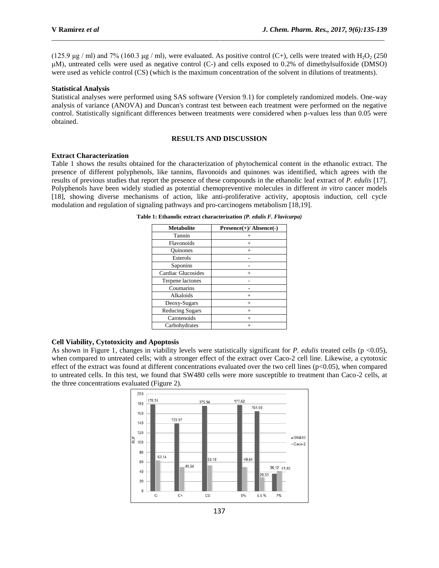(125.9 μg / ml) and 7% (160.3 μg / ml), were evaluated. As positive control (C+), cells were treated with  $H_2O_2$  (250 μM), untreated cells were used as negative control (C-) and cells exposed to 0.2% of dimethylsulfoxide (DMSO) were used as vehicle control (CS) (which is the maximum concentration of the solvent in dilutions of treatments).

 $\_$  ,  $\_$  ,  $\_$  ,  $\_$  ,  $\_$  ,  $\_$  ,  $\_$  ,  $\_$  ,  $\_$  ,  $\_$  ,  $\_$  ,  $\_$  ,  $\_$  ,  $\_$  ,  $\_$  ,  $\_$  ,  $\_$  ,  $\_$  ,  $\_$  ,  $\_$  ,  $\_$  ,  $\_$  ,  $\_$  ,  $\_$  ,  $\_$  ,  $\_$  ,  $\_$  ,  $\_$  ,  $\_$  ,  $\_$  ,  $\_$  ,  $\_$  ,  $\_$  ,  $\_$  ,  $\_$  ,  $\_$  ,  $\_$  ,

#### **Statistical Analysis**

Statistical analyses were performed using SAS software (Version 9.1) for completely randomized models. One-way analysis of variance (ANOVA) and Duncan's contrast test between each treatment were performed on the negative control. Statistically significant differences between treatments were considered when p-values less than 0.05 were obtained.

## **RESULTS AND DISCUSSION**

#### **Extract Characterization**

Table 1 shows the results obtained for the characterization of phytochemical content in the ethanolic extract. The presence of different polyphenols, like tannins, flavonoids and quinones was identified, which agrees with the results of previous studies that report the presence of these compounds in the ethanolic leaf extract of *P. edulis* [17]. Polyphenols have been widely studied as potential chemopreventive molecules in different *in vitro* cancer models [18], showing diverse mechanisms of action, like anti-proliferative activity, apoptosis induction, cell cycle modulation and regulation of signaling pathways and pro-carcinogens metabolism [18,19].

| <b>Metabolite</b>      | $Presence(+) / Absence(-)$ |
|------------------------|----------------------------|
| Tannin                 |                            |
| Flavonoids             | $^{+}$                     |
| Ouinones               | $^{+}$                     |
| Esterols               |                            |
| Saponins               |                            |
| Cardiac Glucosides     | $^+$                       |
| Terpene lactones       |                            |
| Coumarins              |                            |
| Alkaloids              | $^{+}$                     |
| Deoxy-Sugars           | $^{+}$                     |
| <b>Reducing Sugars</b> | $^{+}$                     |
| Carotenoids            | $^{+}$                     |
| Carbohydrates          |                            |

**Table 1: Ethanolic extract characterization** *(P. edulis F. Flavicarpa)*

#### **Cell Viability, Cytotoxicity and Apoptosis**

As shown in Figure 1, changes in viability levels were statistically significant for *P. edulis* treated cells (p <0.05), when compared to untreated cells; with a stronger effect of the extract over Caco-2 cell line. Likewise, a cytotoxic effect of the extract was found at different concentrations evaluated over the two cell lines ( $p<0.05$ ), when compared to untreated cells. In this test, we found that SW480 cells were more susceptible to treatment than Caco-2 cells, at the three concentrations evaluated (Figure 2).

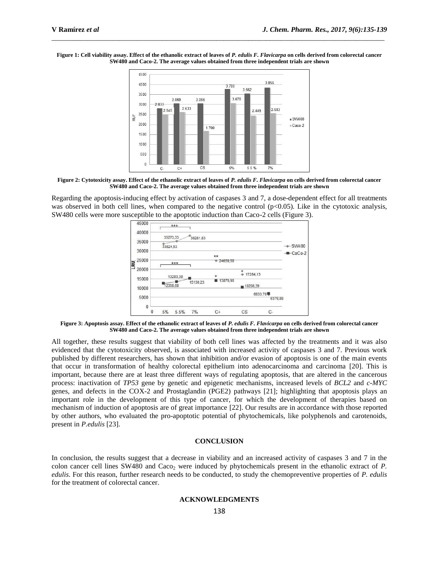**Figure 1: Cell viability assay. Effect of the ethanolic extract of leaves of** *P. edulis F. Flavicarpa* **on cells derived from colorectal cancer SW480 and Caco-2. The average values obtained from three independent trials are shown**

 $\_$  ,  $\_$  ,  $\_$  ,  $\_$  ,  $\_$  ,  $\_$  ,  $\_$  ,  $\_$  ,  $\_$  ,  $\_$  ,  $\_$  ,  $\_$  ,  $\_$  ,  $\_$  ,  $\_$  ,  $\_$  ,  $\_$  ,  $\_$  ,  $\_$  ,  $\_$  ,  $\_$  ,  $\_$  ,  $\_$  ,  $\_$  ,  $\_$  ,  $\_$  ,  $\_$  ,  $\_$  ,  $\_$  ,  $\_$  ,  $\_$  ,  $\_$  ,  $\_$  ,  $\_$  ,  $\_$  ,  $\_$  ,  $\_$  ,



**Figure 2: Cytotoxicity assay. Effect of the ethanolic extract of leaves of** *P. edulis F. Flavicarpa* **on cells derived from colorectal cancer SW480 and Caco-2. The average values obtained from three independent trials are shown**

Regarding the apoptosis-inducing effect by activation of caspases 3 and 7, a dose-dependent effect for all treatments was observed in both cell lines, when compared to the negative control  $(p<0.05)$ . Like in the cytotoxic analysis, SW480 cells were more susceptible to the apoptotic induction than Caco-2 cells (Figure 3).



**Figure 3: Apoptosis assay. Effect of the ethanolic extract of leaves of** *P. edulis F. Flavicarpa* **on cells derived from colorectal cancer SW480 and Caco-2. The average values obtained from three independent trials are shown**

All together, these results suggest that viability of both cell lines was affected by the treatments and it was also evidenced that the cytotoxicity observed, is associated with increased activity of caspases 3 and 7. Previous work published by different researchers, has shown that inhibition and/or evasion of apoptosis is one of the main events that occur in transformation of healthy colorectal epithelium into adenocarcinoma and carcinoma [20]. This is important, because there are at least three different ways of regulating apoptosis, that are altered in the cancerous process: inactivation of *TP53* gene by genetic and epigenetic mechanisms, increased levels of *BCL2* and *c-MYC* genes, and defects in the COX-2 and Prostaglandin (PGE2) pathways [21]; highlighting that apoptosis plays an important role in the development of this type of cancer, for which the development of therapies based on mechanism of induction of apoptosis are of great importance [22]. Our results are in accordance with those reported by other authors, who evaluated the pro-apoptotic potential of phytochemicals, like polyphenols and carotenoids, present in *P.edulis* [23].

## **CONCLUSION**

In conclusion, the results suggest that a decrease in viability and an increased activity of caspases 3 and 7 in the colon cancer cell lines SW480 and Caco<sub>2</sub> were induced by phytochemicals present in the ethanolic extract of *P*. *edulis*. For this reason, further research needs to be conducted, to study the chemopreventive properties of *P. edulis* for the treatment of colorectal cancer.

## **ACKNOWLEDGMENTS**